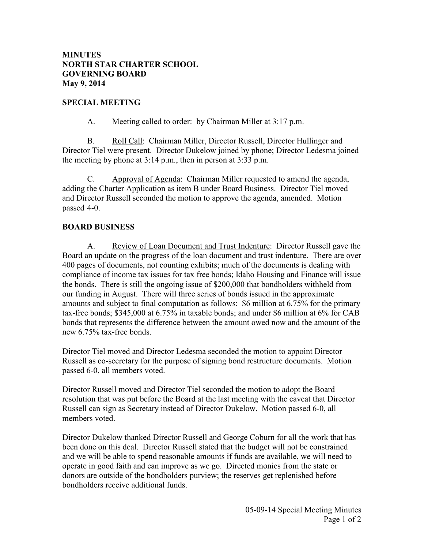## **MINUTES NORTH STAR CHARTER SCHOOL GOVERNING BOARD May 9, 2014**

### **SPECIAL MEETING**

A. Meeting called to order: by Chairman Miller at 3:17 p.m.

 B. Roll Call: Chairman Miller, Director Russell, Director Hullinger and Director Tiel were present. Director Dukelow joined by phone; Director Ledesma joined the meeting by phone at 3:14 p.m., then in person at 3:33 p.m.

 C. Approval of Agenda: Chairman Miller requested to amend the agenda, adding the Charter Application as item B under Board Business. Director Tiel moved and Director Russell seconded the motion to approve the agenda, amended. Motion passed 4-0.

### **BOARD BUSINESS**

A. Review of Loan Document and Trust Indenture: Director Russell gave the Board an update on the progress of the loan document and trust indenture. There are over 400 pages of documents, not counting exhibits; much of the documents is dealing with compliance of income tax issues for tax free bonds; Idaho Housing and Finance will issue the bonds. There is still the ongoing issue of \$200,000 that bondholders withheld from our funding in August. There will three series of bonds issued in the approximate amounts and subject to final computation as follows: \$6 million at 6.75% for the primary tax-free bonds; \$345,000 at 6.75% in taxable bonds; and under \$6 million at 6% for CAB bonds that represents the difference between the amount owed now and the amount of the new 6.75% tax-free bonds.

Director Tiel moved and Director Ledesma seconded the motion to appoint Director Russell as co-secretary for the purpose of signing bond restructure documents. Motion passed 6-0, all members voted.

Director Russell moved and Director Tiel seconded the motion to adopt the Board resolution that was put before the Board at the last meeting with the caveat that Director Russell can sign as Secretary instead of Director Dukelow. Motion passed 6-0, all members voted.

Director Dukelow thanked Director Russell and George Coburn for all the work that has been done on this deal. Director Russell stated that the budget will not be constrained and we will be able to spend reasonable amounts if funds are available, we will need to operate in good faith and can improve as we go. Directed monies from the state or donors are outside of the bondholders purview; the reserves get replenished before bondholders receive additional funds.